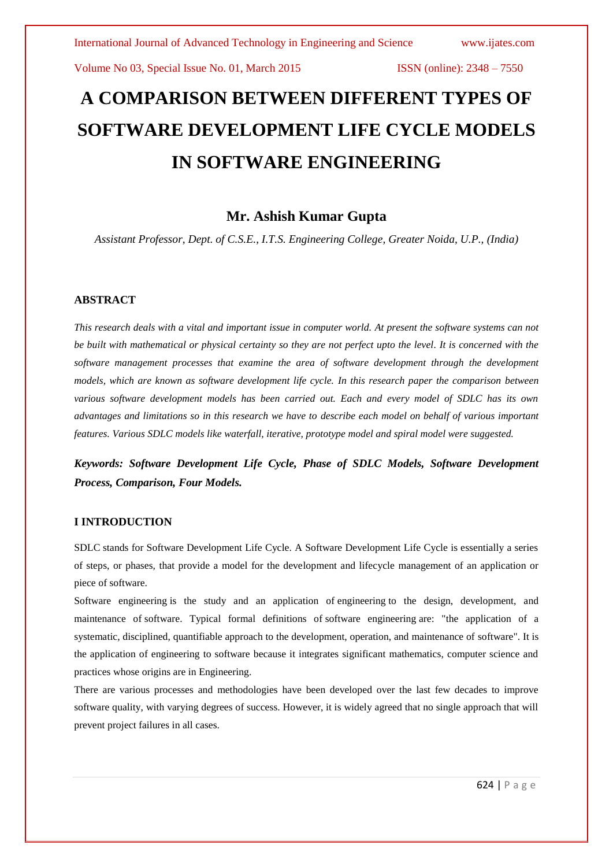# **A COMPARISON BETWEEN DIFFERENT TYPES OF SOFTWARE DEVELOPMENT LIFE CYCLE MODELS IN SOFTWARE ENGINEERING**

# **Mr. Ashish Kumar Gupta**

*Assistant Professor, Dept. of C.S.E., I.T.S. Engineering College, Greater Noida, U.P., (India)*

# **ABSTRACT**

*This research deals with a vital and important issue in computer world. At present the software systems can not be built with mathematical or physical certainty so they are not perfect upto the level. It is concerned with the software management processes that examine the area of software development through the development models, which are known as software development life cycle. In this research paper the comparison between various software development models has been carried out. Each and every model of SDLC has its own advantages and limitations so in this research we have to describe each model on behalf of various important features. Various SDLC models like waterfall, iterative, prototype model and spiral model were suggested.*

*Keywords: Software Development Life Cycle, Phase of SDLC Models, Software Development Process, Comparison, Four Models.*

#### **I INTRODUCTION**

SDLC stands for Software Development Life Cycle. A Software Development Life Cycle is essentially a series of steps, or phases, that provide a model for the development and lifecycle management of an application or piece of software.

Software engineering is the study and an application of engineering to the design, development, and maintenance of software. Typical formal definitions of software engineering are: "the application of a systematic, disciplined, quantifiable approach to the development, operation, and maintenance of software". It is the application of engineering to software because it integrates significant mathematics, computer science and practices whose origins are in Engineering.

There are various processes and methodologies have been developed over the last few decades to improve software quality, with varying degrees of success. However, it is widely agreed that no single approach that will prevent project failures in all cases.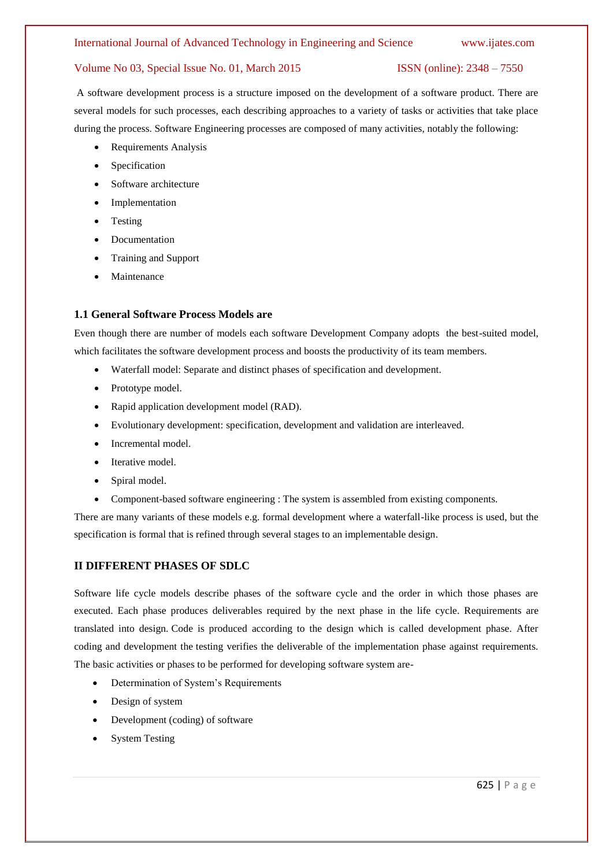A software development process is a structure imposed on the development of a software product. There are several models for such processes, each describing approaches to a variety of tasks or activities that take place during the process. Software Engineering processes are composed of many activities, notably the following:

- Requirements Analysis
- Specification
- Software architecture
- Implementation
- Testing
- Documentation
- Training and Support
- Maintenance

#### **1.1 General Software Process Models are**

Even though there are number of models each software Development Company adopts the best-suited model, which facilitates the software development process and boosts the productivity of its team members.

- Waterfall model: Separate and distinct phases of specification and development.
- Prototype model.
- Rapid application development model (RAD).
- Evolutionary development: specification, development and validation are interleaved.
- Incremental model.
- Iterative model.
- Spiral model.
- Component-based software engineering : The system is assembled from existing components.

There are many variants of these models e.g. formal development where a waterfall-like process is used, but the specification is formal that is refined through several stages to an implementable design.

## **II DIFFERENT PHASES OF SDLC**

Software life cycle models describe phases of the software cycle and the order in which those phases are executed. Each phase produces deliverables required by the next phase in the life cycle. Requirements are translated into design. Code is produced according to the design which is called development phase. After coding and development the testing verifies the deliverable of the implementation phase against requirements. The basic activities or phases to be performed for developing software system are-

- Determination of System's Requirements
- Design of system
- Development (coding) of software
- System Testing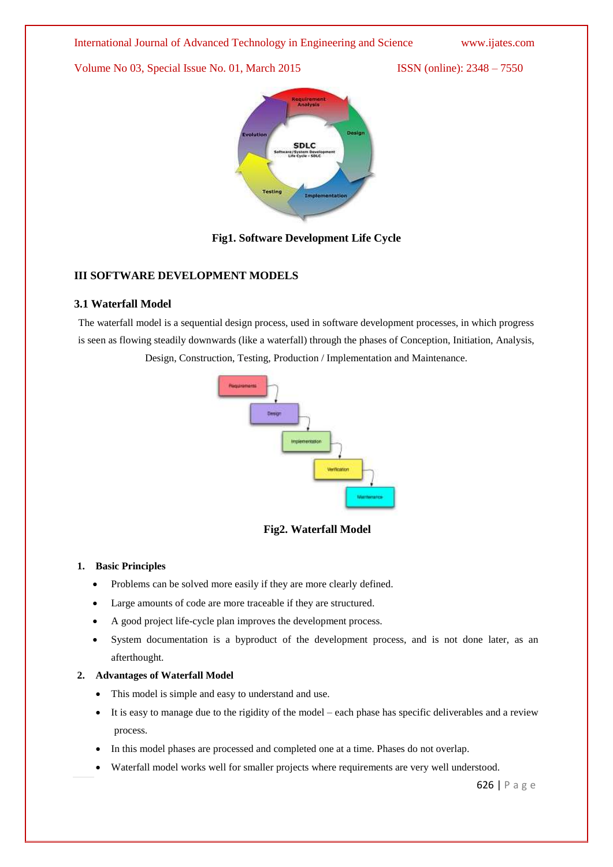## International Journal of Advanced Technology in Engineering and Science www.ijates.com

Volume No 03, Special Issue No. 01, March 2015 ISSN (online): 2348 – 7550



# **Fig1. Software Development Life Cycle**

# **III SOFTWARE DEVELOPMENT MODELS**

## **3.1 Waterfall Model**

The waterfall model is a sequential design process, used in software development processes, in which progress is seen as flowing steadily downwards (like a waterfall) through the phases of Conception, Initiation, Analysis, Design, Construction, Testing, Production / Implementation and Maintenance.



# **Fig2. Waterfall Model**

#### **1. Basic Principles**

- Problems can be solved more easily if they are more clearly defined.
- Large amounts of code are more traceable if they are structured.
- A good project life-cycle plan improves the development process.
- System documentation is a byproduct of the development process, and is not done later, as an afterthought.

## **2. Advantages of Waterfall Model**

- This model is simple and easy to understand and use.
- It is easy to manage due to the rigidity of the model each phase has specific deliverables and a review process.
- In this model phases are processed and completed one at a time. Phases do not overlap.
- Waterfall model works well for smaller projects where requirements are very well understood.

626 | P a g e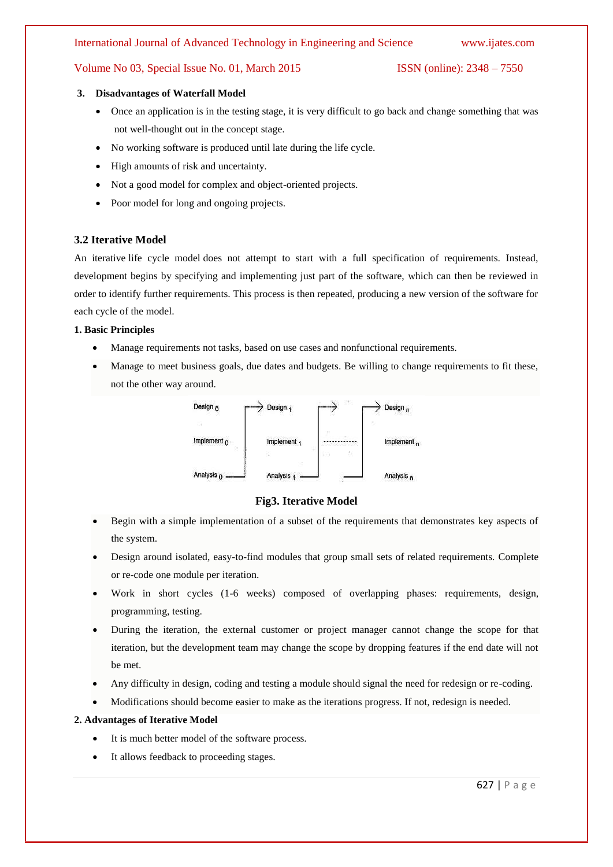#### International Journal of Advanced Technology in Engineering and Science www.ijates.com

## Volume No 03, Special Issue No. 01, March 2015 ISSN (online): 2348 – 7550

#### **3. Disadvantages of Waterfall Model**

- Once an application is in the [testing](http://istqbexamcertification.com/what-is-a-software-testing/) stage, it is very difficult to go back and change something that was not well-thought out in the concept stage.
- No working software is produced until late during the life cycle.
- High amounts of risk and uncertainty.
- Not a good model for complex and object-oriented projects.
- Poor model for long and ongoing projects.

## **3.2 Iterative Model**

An iterative [life cycle model](http://istqbexamcertification.com/what-are-the-software-development-models/) does not attempt to start with a full specification of requirements. Instead, development begins by specifying and implementing just part of the software, which can then be reviewed in order to identify further requirements. This process is then repeated, producing a new version of the software for each cycle of the model.

#### **1. Basic Principles**

- Manage requirements not tasks, based on use cases and nonfunctional requirements.
- Manage to meet business goals, due dates and budgets. Be willing to change requirements to fit these, not the other way around.



#### **Fig3. Iterative Model**

- Begin with a simple implementation of a subset of the requirements that demonstrates key aspects of the system.
- Design around isolated, easy-to-find modules that group small sets of related requirements. Complete or re-code one module per iteration.
- Work in short cycles (1-6 weeks) composed of overlapping phases: requirements, design, programming, testing.
- During the iteration, the external customer or project manager cannot change the scope for that iteration, but the development team may change the scope by dropping features if the end date will not be met.
- Any difficulty in design, coding and testing a module should signal the need for redesign or re-coding.
- Modifications should become easier to make as the iterations progress. If not, redesign is needed.

## **2. Advantages of Iterative Model**

- It is much better model of the software process.
- It allows feedback to proceeding stages.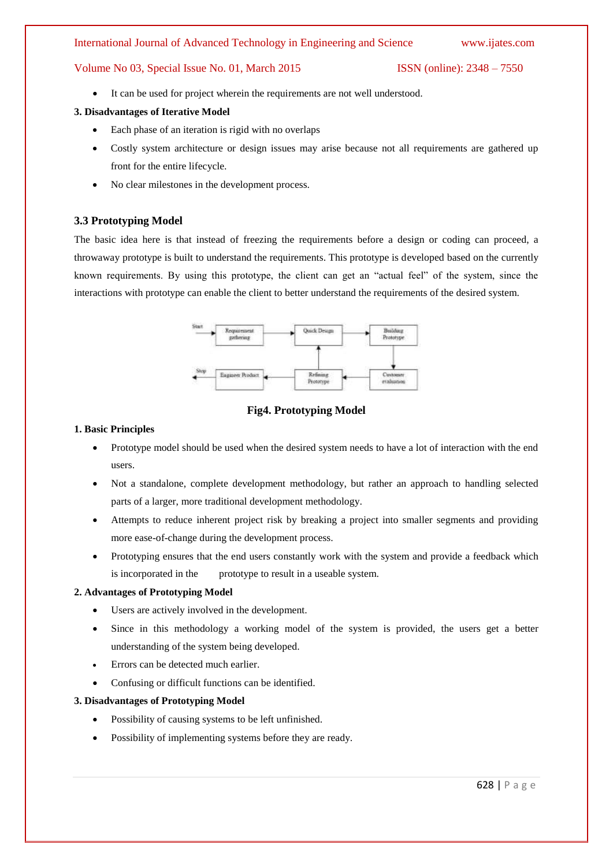#### International Journal of Advanced Technology in Engineering and Science www.ijates.com

## Volume No 03, Special Issue No. 01, March 2015 ISSN (online): 2348 – 7550

It can be used for project wherein the requirements are not well understood.

#### **3. Disadvantages of Iterative Model**

- Each phase of an iteration is rigid with no overlaps
- Costly system architecture or design issues may arise because not all requirements are gathered up front for the entire lifecycle.
- No clear milestones in the development process.

# **3.3 Prototyping Model**

The basic idea here is that instead of freezing the requirements before a design or coding can proceed, a throwaway prototype is built to understand the requirements. This prototype is developed based on the currently known requirements. By using this prototype, the client can get an "actual feel" of the system, since the interactions with prototype can enable the client to better understand the requirements of the desired system.



# **Fig4. Prototyping Model**

#### **1. Basic Principles**

- Prototype model should be used when the desired system needs to have a lot of interaction with the end users.
- Not a standalone, complete development methodology, but rather an approach to handling selected parts of a larger, more traditional development methodology.
- Attempts to reduce inherent project risk by breaking a project into smaller segments and providing more ease-of-change during the development process.
- Prototyping ensures that the end users constantly work with the system and provide a feedback which is incorporated in the prototype to result in a useable system.

# **2. Advantages of Prototyping Model**

- Users are actively involved in the development.
- Since in this methodology a working model of the system is provided, the users get a better understanding of the system being developed.
- Errors can be detected much earlier.
- Confusing or difficult functions can be identified.

#### **3. Disadvantages of Prototyping Model**

- Possibility of causing systems to be left unfinished.
- Possibility of implementing systems before they are ready.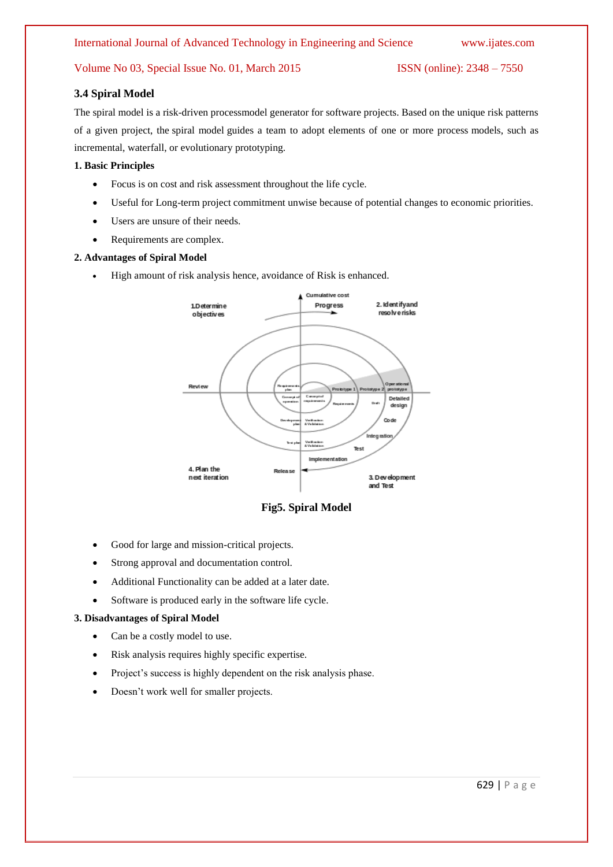## **3.4 Spiral Model**

The spiral model is a risk-driven processmodel generator for software projects. Based on the unique risk patterns of a given project, the spiral model guides a team to adopt elements of one or more process models, such as incremental, waterfall, or evolutionary prototyping.

## **1. Basic Principles**

- Focus is on cost and risk assessment throughout the life cycle.
- Useful for Long-term project commitment unwise because of potential changes to economic priorities.
- Users are unsure of their needs.
- Requirements are complex.

#### **2. Advantages of Spiral Model**

High amount of risk analysis hence, avoidance of Risk is enhanced.



**Fig5. Spiral Model**

- Good for large and mission-critical projects.
- Strong approval and documentation control.
- Additional Functionality can be added at a later date.
- Software is produced early in the [software life cycle.](http://istqbexamcertification.com/what-are-the-software-development-life-cycle-phases/)

#### **3. Disadvantages of Spiral Model**

- Can be a costly model to use.
- Risk analysis requires highly specific expertise.
- Project's success is highly dependent on the risk analysis phase.
- Doesn't work well for smaller projects.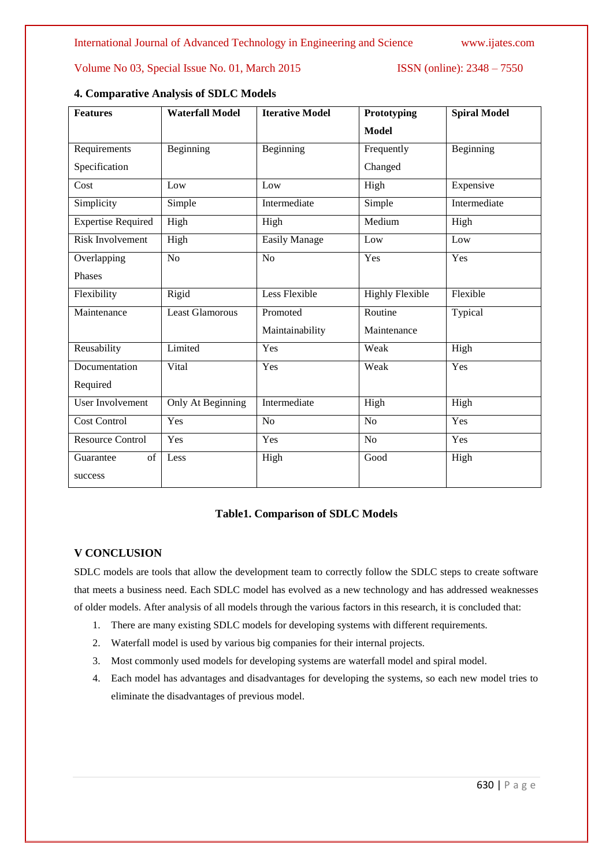| <b>Features</b>           | <b>Waterfall Model</b> | <b>Iterative Model</b> | Prototyping            | <b>Spiral Model</b> |
|---------------------------|------------------------|------------------------|------------------------|---------------------|
|                           |                        |                        | <b>Model</b>           |                     |
| Requirements              | Beginning              | Beginning              | Frequently             | Beginning           |
| Specification             |                        |                        | Changed                |                     |
| Cost                      | Low                    | Low                    | High                   | Expensive           |
| Simplicity                | Simple                 | Intermediate           | Simple                 | Intermediate        |
| <b>Expertise Required</b> | High                   | High                   | Medium                 | High                |
| <b>Risk Involvement</b>   | High                   | <b>Easily Manage</b>   | Low                    | Low                 |
| Overlapping               | N <sub>o</sub>         | N <sub>o</sub>         | Yes                    | Yes                 |
| Phases                    |                        |                        |                        |                     |
| Flexibility               | Rigid                  | Less Flexible          | <b>Highly Flexible</b> | Flexible            |
| Maintenance               | <b>Least Glamorous</b> | Promoted               | Routine                | Typical             |
|                           |                        | Maintainability        | Maintenance            |                     |
| Reusability               | Limited                | Yes                    | Weak                   | High                |
| Documentation             | Vital                  | Yes                    | Weak                   | Yes                 |
| Required                  |                        |                        |                        |                     |
| <b>User Involvement</b>   | Only At Beginning      | Intermediate           | High                   | High                |
| <b>Cost Control</b>       | Yes                    | N <sub>o</sub>         | N <sub>o</sub>         | Yes                 |
| <b>Resource Control</b>   | Yes                    | Yes                    | $\overline{No}$        | Yes                 |
| Guarantee<br>of           | Less                   | High                   | Good                   | High                |
| success                   |                        |                        |                        |                     |

# **4. Comparative Analysis of SDLC Models**

# **Table1. Comparison of SDLC Models**

# **V CONCLUSION**

SDLC models are tools that allow the development team to correctly follow the SDLC steps to create software that meets a business need. Each SDLC model has evolved as a new technology and has addressed weaknesses of older models. After analysis of all models through the various factors in this research, it is concluded that:

- 1. There are many existing SDLC models for developing systems with different requirements.
- 2. Waterfall model is used by various big companies for their internal projects.
- 3. Most commonly used models for developing systems are waterfall model and spiral model.
- 4. Each model has advantages and disadvantages for developing the systems, so each new model tries to eliminate the disadvantages of previous model.